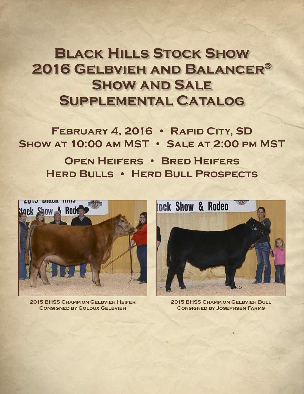# **Black Hills Stock Show 2016 Gelbvieh and Balancer® Show and Sale Supplemental Catalog**

FEBRUARY 4, 2016 • RAPID CITY, SD **Show at 10:00 am MST • Sale at 2:00 pm MST**

**Open Heifers • Bred Heifers Herd Bulls • Herd Bull Prospects**



**2015 BHSS Champion Gelbvieh Heifer Consigned by Goldux Gelbvieh**



**2015 BHSS Champion Gelbvieh Bull Consigned by Josephsen Farms**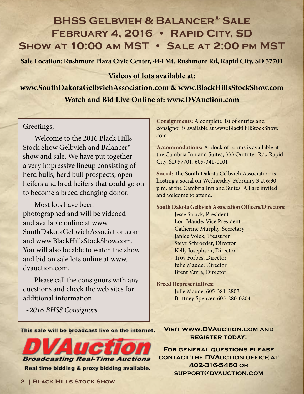# **BHSS Gelbvieh & Balancer® Sale** FEBRUARY 4, 2016 · RAPID CITY, SD **Show at 10:00 am MST • Sale at 2:00 pm MST**

**Sale Location: Rushmore Plaza Civic Center, 444 Mt. Rushmore Rd, Rapid City, SD 57701**

# **Videos of lots available at:**

**www.SouthDakotaGelbviehAssociation.com & www.BlackHillsStockShow.com Watch and Bid Live Online at: www.DVAuction.com**

# Greetings,

Welcome to the 2016 Black Hills Stock Show Gelbvieh and Balancer® show and sale. We have put together a very impressive lineup consisting of herd bulls, herd bull prospects, open heifers and bred heifers that could go on to become a breed changing donor.

Most lots have been photographed and will be videoed and available online at www. SouthDakotaGelbviehAssociation.com and www.BlackHillsStockShow.com. You will also be able to watch the show and bid on sale lots online at www. dvauction.com.

Please call the consignors with any questions and check the web sites for additional information.

*~2016 BHSS Consignors*

**Consignments:** A complete list of entries and consignor is available at www.BlackHillStockShow. com

**Accommodations:** A block of rooms is available at the Cambria Inn and Suites, 333 Outfitter Rd., Rapid City, SD 57701, 605-341-0101

**Social:** The South Dakota Gelbvieh Association is hosting a social on Wednesday, February 3 at 6:30 p.m. at the Cambria Inn and Suites. All are invited and welcome to attend.

**South Dakota Gelbvieh Association Officers/Directors**: Jesse Struck, President Lori Maude, Vice President Catherine Murphy, Secretary Janice Volek, Treasurer Steve Schroeder, Director Kelly Josephsen, Director Troy Forbes, Director Julie Maude, Director Brent Vavra, Director

**Breed Representatives:** Julie Maude, 605-381-2803 Brittney Spencer, 605-280-0204

This sale will be broadcast live on the internet.



**Visit www.DVAuction.com and register today!**

**For general questions please contact the DVAuction office at 402-316-5460 or support@dvauction.com**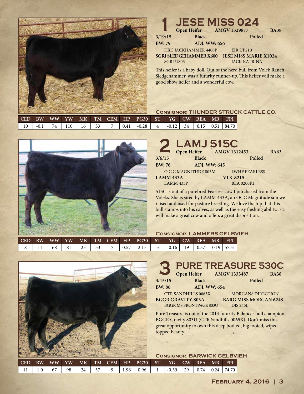

#### **11 ISS 024**<br> **11 Open Heifer AMGV 1329877**<br> **12 Black** Polled HXC JACKHAMMER 4400P **SGRI SLEDGEHAMMER X600** SGRI U803 EIR UP210 **JESE MISS MARIE X1024** JACK KATRINA **3/19/15 Black Polled BW: 79 ADJ. WW: 656 Open Heifer AMGV 1329877 BA38**

This heifer is a baby doll. Out of the herd bull from Volek Ranch, Sledgehammer, was a futurity runner-up. This heifer will make a good show heifer and a wonderful cow.

## **Consignor: THUNDER STRUCK CATTLE CO.**

|        |          |    |    |      | CED BW WW YW MK TM CEM HP PG30 ST |  | YG CW REA MB | <b>FPI</b>                                                               |
|--------|----------|----|----|------|-----------------------------------|--|--------------|--------------------------------------------------------------------------|
| $-0.1$ | 74   110 | 16 | 53 | 0.41 | $\vert$ -0.28                     |  |              | $\vert$ -0.12 $\vert$ 34 $\vert$ 0.15 $\vert$ 0.51 $\vert$ 84.70 $\vert$ |



|              | 2 LAMJ 515C<br>Open Heifer AMGV 1312453 |                      |             |
|--------------|-----------------------------------------|----------------------|-------------|
|              |                                         |                      | <b>BA63</b> |
| 3/6/15       | <b>Black</b>                            | Polled               |             |
| <b>BW:76</b> | <b>ADJ. WW: 645</b>                     |                      |             |
|              | O C C MAGNITUDE 805M                    | <b>LWHF FEARLESS</b> |             |
| LAMM 433A    |                                         | <b>VLK Z215</b>      |             |
| LAMM 433P    |                                         | <b>BEA 0200K1</b>    |             |

515C is out of a purebred Fearless cow I purchased from the Voleks. She is sired by LAMM 433A, an OCC Magnitude son we raised and used for pasture breeding. We love the hip that this bull stamps into his calves, as well as the easy fleshing ability. 515 will make a great cow and offers a great disposition.

### **Consignor: LAMMERS GELBVIEH**

| <b>CED</b> | <b>BW</b> | <b>WW</b> | YW | MK |           |             | TM CEM HP PG30 ST |   | YG      | CW REA |      | <b>MB</b>       | <b>FPI</b> |
|------------|-----------|-----------|----|----|-----------|-------------|-------------------|---|---------|--------|------|-----------------|------------|
|            | .         | 68        | 81 |    | 53<br>ر ر | 0.57<br>ບ.ບ |                   | 5 | $-0.16$ | 19     | 0.37 | $-0.19$   57.51 |            |



# **3 PURE TREASURE 530C**

| <b>Septiment</b>         | <b>Open Heifer</b>         | <b>AMGV 1333487</b><br><b>BA38</b> |
|--------------------------|----------------------------|------------------------------------|
| 3/15/15                  | <b>Black</b>               | Polled                             |
| <b>BW: 86</b>            | <b>ADI. WW: 654</b>        |                                    |
|                          | <b>CTR SANDHILLS 0065X</b> | <b>MORGANS DIRECTION</b>           |
| <b>BGGR GRAVITY 803A</b> |                            | <b>BARG MISS MORGAN 6249</b>       |

**BARG MISS MORGAN 624S** DJS 245L

Pure Treasure is out of the 2014 futurity Balancer bull champion, BGGR Gravity 803U (CTR Sandhills 0065X). Don't miss this great opportunity to own this deep bodied, big footed, wiped topped beauty.

| <b>CONSIGNOR: BARWICK GELBVIEH</b> |  |  |
|------------------------------------|--|--|
|------------------------------------|--|--|

BGGR MS FRONTPAGE 803U

| $\mathop{\mathrm{CED}}$ | <b>RW</b> |    |      |    |      |                    | WW YW MK TM CEM HP PG30 ST YG CW REA |              |  | <b>MB</b> | – FPI                        |
|-------------------------|-----------|----|------|----|------|--------------------|--------------------------------------|--------------|--|-----------|------------------------------|
| -11 I                   | 1.0       | 67 | 98 l | 24 | . 57 | $9 \mid 1.96 \mid$ | 0.96                                 | $-0.39$   29 |  |           | $\binom{0.74}{0.24}$   74.70 |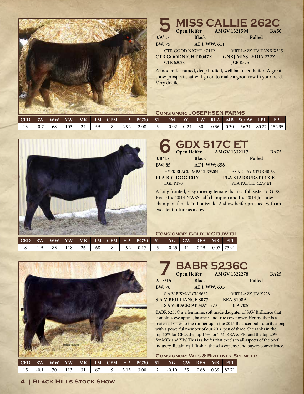

#### **5 MISS CALLIE 262C**<br> **5** Open Heifer AMGV 1321594 BA50<br>
Black Polled A moderate framed, deep bodied, well balanced heifer! A great show prospect that will go on to make a good cow in your herd. CTR GOOD NIGHT 4743P **CTR GOODNIGHT 0047X** CTR 6202S VRT LAZY TV TANK X315 **GNKJ MISS LYDIA 222Z** JCB R575 **3/9/15 Black Polled BW: 75 ADJ. WW: 611 AMGV 1321594**

## **Consignor: JOSEPHSEN FARMS**

| $\blacksquare$ CED | BW | WW YW |     |    |    |      |      |         |         |    |  | MK TM CEM HP PG30 ST DMI YG CW REA MB \$COW FPI                      | <b>EPI</b> |
|--------------------|----|-------|-----|----|----|------|------|---------|---------|----|--|----------------------------------------------------------------------|------------|
|                    |    | 68    | 103 | 24 | 59 | 2.92 | 2.08 | $+0.02$ | $-0.24$ | 30 |  | $\vert$ 0.36 $\vert$ 0.30 $\vert$ 56.31 $\vert$ 80.27 $\vert$ 152.35 |            |

Very docile.



|                 | GDX 517C ET                    |                            |             |
|-----------------|--------------------------------|----------------------------|-------------|
|                 |                                |                            | <b>BA75</b> |
| 3/8/15          | <b>Black</b>                   | Polled                     |             |
| <b>BW: 85</b>   | <b>ADJ. WW: 658</b>            |                            |             |
|                 | <b>HYEK BLACK IMPACT 3960N</b> | <b>EXAR PAY STUB 40 5S</b> |             |
|                 | PLA BIG DOG 101Y               | PLA STARBURST 01X ET       |             |
| <b>EGL P190</b> |                                | PLA PATTIE 427P ET         |             |
|                 |                                |                            |             |

A long fronted, easy moving female that is a full sister to GDX Rosie the 2014 NWSS calf champion and the 2014 Jr. show champion female in Louisville. A show heifer prospect with an excellent future as a cow.

### **Consignor: Goldux Gelbvieh**

| $\blacksquare$ CED | <b>BW</b> | WW YW |     | MK |    |      | TM CEM HP PG30 ST                    |         | $YG$ $CW$ | REA        | $-MB$              | <b>FPI</b> |
|--------------------|-----------|-------|-----|----|----|------|--------------------------------------|---------|-----------|------------|--------------------|------------|
|                    |           | 83    | 118 | 26 | 68 | 4.92 | $\begin{array}{cc} 0.17 \end{array}$ | $-0.25$ |           | $-41$ 0.29 | $\pm 0.07$   73.91 |            |



|               | <b>BABR 5236C</b>            |                  |             |
|---------------|------------------------------|------------------|-------------|
|               | Open Heifer AMGV 1322278     |                  | <b>BA25</b> |
| 2/13/15       | <b>Black</b>                 | Polled           |             |
| <b>BW: 76</b> | ADJ. WW: 635                 |                  |             |
|               | <b>SAV BISMARCK 5682</b>     | VRT LAZY TV Y728 |             |
|               | <b>SAV BRILLIANCE 8077</b>   | <b>BEA 3108A</b> |             |
|               | <b>SAV BLACKCAP MAY 5270</b> | <b>BEA 7026T</b> |             |

BABR 5235C is a feminine, soft made daughter of SAV Brilliance that combines eye appeal, balance, and true cow power. Her mother is a maternal sister to the runner up in the 2015 Balancer bull futurity along with a powerful member of our 2016 pen of three. She ranks in the top 10% for CED, the top 15% for TM, REA & FPI and the top 20% for Milk and YW. This is a heifer that excels in all aspects of the beef industry. Retaining 1 flush at the sells expense and buyers convenience.

**Consignor: Wes & Brittney Spencer**

|  |  |  |  | CED BW WW YW MK TM CEM HP PG30 ST YG CW REA MB FPI                                   |  |  |  |
|--|--|--|--|--------------------------------------------------------------------------------------|--|--|--|
|  |  |  |  | $-0.1$   70   113   31   67   9   3.15   3.00   2   -0.10   35   0.68   0.39   82.71 |  |  |  |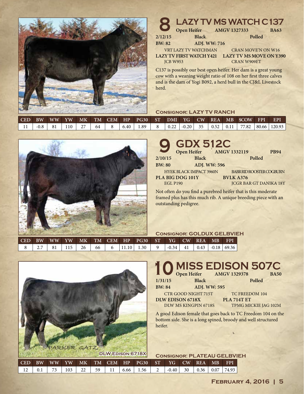

| 8               | <b>LAZY TV MS WATCH C137</b>                                                                                                                                                                                                                                                                                                                                        |  |                           |        |                                |
|-----------------|---------------------------------------------------------------------------------------------------------------------------------------------------------------------------------------------------------------------------------------------------------------------------------------------------------------------------------------------------------------------|--|---------------------------|--------|--------------------------------|
|                 | Open Heifer AMGV 1327333                                                                                                                                                                                                                                                                                                                                            |  |                           |        | <b>BA63</b>                    |
| 2/12/15         | <b>Black</b>                                                                                                                                                                                                                                                                                                                                                        |  |                           | Polled |                                |
| <b>BW: 82</b>   | <b>ADJ. WW: 716</b>                                                                                                                                                                                                                                                                                                                                                 |  |                           |        |                                |
|                 | VRT LAZY TV WATCHMAN                                                                                                                                                                                                                                                                                                                                                |  | <b>CRAN MOVE'N ON W16</b> |        |                                |
|                 | <b>LAZY TV FIRST WATCH Y421</b>                                                                                                                                                                                                                                                                                                                                     |  |                           |        | <b>LAZY TV MS MOVE ON Y390</b> |
| <b>ICB W953</b> |                                                                                                                                                                                                                                                                                                                                                                     |  | <b>CRAN W909ET</b>        |        |                                |
|                 | C137 is possibly our best open heifer. Her dam is a great young<br>$\mathbf{a}$ and $\mathbf{a}$ and $\mathbf{a}$ and $\mathbf{a}$ and $\mathbf{a}$ and $\mathbf{a}$ and $\mathbf{a}$ and $\mathbf{a}$ and $\mathbf{a}$ and $\mathbf{a}$ and $\mathbf{a}$ and $\mathbf{a}$ and $\mathbf{a}$ and $\mathbf{a}$ and $\mathbf{a}$ and $\mathbf{a}$ and $\mathbf{a}$ and |  |                           |        |                                |

cow with a weaning weight ratio of 108 on her first three calves and is the dam of Yogi B092, a herd bull in the CJ&L Livestock herd.

## **Consignor: LAZY TV RANCH**

|  |  |    |      |        |      |         |            |  | CED BW WW YW MK TM CEM HP PG30 ST DMI YG CW REA MB \$COW FPI       | EPI |
|--|--|----|------|--------|------|---------|------------|--|--------------------------------------------------------------------|-----|
|  |  | 64 | 6.40 | ـ 89.ء | 0.22 | $-0.20$ | $35 \quad$ |  | $\vert 0.52 \vert 0.11 \vert 77.82 \vert 80.66 \vert 120.93 \vert$ |     |



| 9             | <b>GDX 512C</b>                |                     |                               |             |
|---------------|--------------------------------|---------------------|-------------------------------|-------------|
|               | Open Heifer                    |                     | AMGV 1332119                  | <b>PB94</b> |
| 2/10/15       | <b>Black</b>                   |                     | Polled                        |             |
| <b>BW: 80</b> |                                | <b>ADJ. WW: 596</b> |                               |             |
|               | <b>HYEK BLACK IMPACT 3960N</b> |                     | BABR RID ROOSTER COGBURN      |             |
|               | PLA BIG DOG 101Y               |                     | <b>BVLK A376</b>              |             |
|               | <b>EGL P190</b>                |                     | <b>JCGR BAR GT DANIKA 18Y</b> |             |
|               |                                |                     |                               |             |

Not often do you find a purebred heifer that is this moderate framed plus has this much rib. A unique breeding piece with an outstanding pedigree.

|     |           |    |           |       |    |           |  |      | <b>CONSIGNOR: GOLDUX GELBVIEH</b> |         |    |              |         |       |  |  |
|-----|-----------|----|-----------|-------|----|-----------|--|------|-----------------------------------|---------|----|--------------|---------|-------|--|--|
| CED | <b>BW</b> | WW | <b>YW</b> | $M_K$ |    | TM CEM HP |  | PG30 | $\sqrt{ST}$                       |         |    | YG CW REA MB |         | FPI   |  |  |
|     |           |    |           | 26    | 66 |           |  | 1.30 |                                   | $-0.34$ | 41 | 0.43         | $-0.18$ | 69.36 |  |  |



|               | 10 MISS EDISON 507C |        |  |
|---------------|---------------------|--------|--|
|               |                     |        |  |
| 1/31/15       | <b>Black</b>        | Polled |  |
| <b>BW: 84</b> | <b>ADJ. WW: 595</b> |        |  |

CTR GOOD NIGHT 715T **DLW EDISON 6718X** DLW MS KINGPIN 6718S

TC FREEDOM 104 **PLA 714T ET** TPMG MICKIE JAG 102M

A good Edison female that goes back to TC Freedom 104 on the bottom side. She is a long spined, broody and well structured heifer.

| <b>CONSIGNOR: PLATEAU GELBVIEH</b> |  |  |  |
|------------------------------------|--|--|--|
|------------------------------------|--|--|--|

| <b>FEBRUARY 4, 2016   5</b> |  |  |  |
|-----------------------------|--|--|--|
|                             |  |  |  |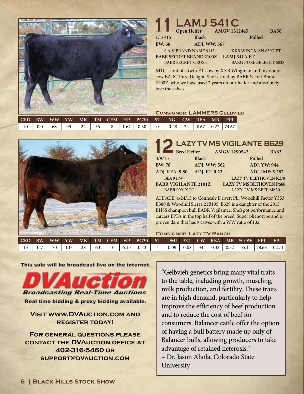

# **11 Depen Heifer AMGV 1312445**<br> **12445**<br> **12445**

S A V BRAND NAME 9115 **BABR SECRET BRAND 2100Z 1/16/15 Black Polled BW: 68 ADJ. WW: 567 Open Heifer AMGV 1312445 BA50**

BABR SECRET CRUSH

XXB WINGMAN 639T ET **LAMJ 341A ET** BARG PUREDELIGHT 683S

541C is out of a twin ET cow by XXB Wingman and my donor cow BARG Pure Delight. She is sired by BABR Secret Brand 2100Z, who we have used 2 years on our heifer and absolutely love the calves.

# **Consignor: LAMMERS Gelbvieh**

| $\blacksquare$ CED |    |    |    |      | BW WW YW MK TM CEM HP PG30 ST |         |    | YG CW REA MB             | <b>FPI</b> |
|--------------------|----|----|----|------|-------------------------------|---------|----|--------------------------|------------|
| 10                 | 68 | 93 | 55 | 1.67 | 0.30                          | $-0.28$ | 24 | $0.67 \pm 0.27 \pm 0.27$ | 74.67      |



|                             | LAZY TV MS VIGILANTE B629 |                     |                                 |
|-----------------------------|---------------------------|---------------------|---------------------------------|
| <b>Bred Heifer</b>          |                           | <b>AMGV 1290542</b> | <b>BA63</b>                     |
| 3/9/15                      | <b>Black</b>              |                     | Polled                          |
| <b>BW:78</b>                | ADJ. WW: 562              |                     | <b>ADJ. YW: 944</b>             |
| <b>ADJ. REA: 9.80</b>       | ADJ. FT: 0.23             |                     | ADJ. IMF: 5.282                 |
| <b>BEA 941W</b>             |                           |                     | <b>LAZY TV BEETHOVEN K278</b>   |
| <b>BABR VIGILANTE 2101Z</b> |                           |                     | <b>LAZY TV MS BETHOVEN P668</b> |
| <b>BABR 0091X ET</b>        |                           |                     | <b>LAZY TV MS BEEF M630</b>     |

AI DATE: 4/24/15 to Connealy Driver; PE: Woodhill Factor Y353 B380 & Woodhill Sierra 21B195. B629 is a daughter of the 2013 BHSS champion bull BABR Vigilantee. She's got performance and carcass EPDs in the top half of the breed. Super phenotype and a proven dam that has 9 calves with a WW ratio of 102.

#### **Consignor: Lazy TV Ranch**

|        |                            |          |  |                                                                          |  |  |  | CED BW WW YW MK TM CEM HP PG30 ST DMI YG CW REA MB SCOW FPI                                                        | <b>EPI</b> |
|--------|----------------------------|----------|--|--------------------------------------------------------------------------|--|--|--|--------------------------------------------------------------------------------------------------------------------|------------|
| $13-1$ | $\frac{1}{2}$ 0.7   70   . | 107   28 |  | $\begin{array}{ c c c c c c c c c } \hline \end{array}$ (6.13   0.43   4 |  |  |  | $\vert$ 0.09 $\vert$ -0.08 $\vert$ 34 $\vert$ 0.32 $\vert$ 0.32 $\vert$ 55.14 $\vert$ 78.66 $\vert$ 102.71 $\vert$ |            |

This sale will be broadcast live on the internet.



# **Visit www.DVAuction.com and register today!**

**For general questions please contact the DVAuction office at 402-316-5460 or support@dvauction.com**

"Gelbvieh genetics bring many vital traits to the table, including growth, muscling, milk production, and fertility. These traits are in high demand, particularly to help improve the efficiency of beef production and to reduce the cost of beef for consumers. Balancer cattle offer the option of having a bull battery made up only of Balancer bulls, allowing producers to take advantage of retained heterosis." – Dr. Jason Ahola, Colorado State University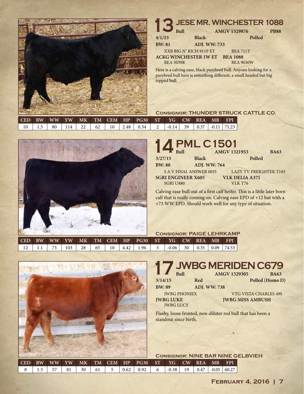

#### **JESE MR. WINCHESTER 1088**<br> **1329876**<br> **14/1/15**<br> **1329876**<br> **1329876**<br> **1329876**<br> **1329876**<br> **1329876** Here is a calving ease, black purebred bull. Anyone looking for a XXB BIG N' RICH 911P ET **ACKG WINCHESTER 1W ET** BEA 5039R BEA 711T **BEA 1088** BEA 9030W **4/1/15 Black Polled BW: 81 ADJ. WW: 733**  $AMGV$  1329876

purebred bull here is something different, a small headed but big topped bull.

## **Consignor: THUNDER STRUCK CATTLE CO.**

| l CED |                    | BW WW |  |  | YW MK TM CEM HP PG30 ST YG CW REA MB FPI                                                                                 |  |  |  |
|-------|--------------------|-------|--|--|--------------------------------------------------------------------------------------------------------------------------|--|--|--|
|       | $10 \mid 1.5 \mid$ |       |  |  | $\mid 80 \mid 114 \mid 22 \mid 62 \mid 10 \mid 2.48 \mid 0.34 \mid 2 \mid -0.14 \mid 39 \mid 0.37 \mid -0.11 \mid 71.23$ |  |  |  |



|                  | 14 PML C1501                 |                     |                               |             |
|------------------|------------------------------|---------------------|-------------------------------|-------------|
|                  |                              | <b>AMGV 1321953</b> |                               | <b>BA63</b> |
| 3/27/15          | <b>Black</b>                 |                     | Polled                        |             |
| <b>BW: 88</b>    | <b>ADJ. WW: 764</b>          |                     |                               |             |
|                  | <b>SAV FINAL ANSWER 0035</b> |                     | <b>LAZY TV FREIGHTER T183</b> |             |
|                  | <b>SGRI ENGINEER X605</b>    |                     | <b>VLK DELIA A371</b>         |             |
| <b>SGRI U880</b> |                              | <b>VLK T76</b>      |                               |             |

Calving ease bull out of a first calf heifer. This is a little later born calf that is really coming on. Calving ease EPD of +12 but with a +73 WW EPD. Should work well for any type of situation.

|            |           |    |                 |                 |  | <b>CONSIGNOR: PAIGE LEHRKAMP</b> |      |                                             |  |         |      |                      |  |              |  |
|------------|-----------|----|-----------------|-----------------|--|----------------------------------|------|---------------------------------------------|--|---------|------|----------------------|--|--------------|--|
| <b>CED</b> | <b>BW</b> |    |                 |                 |  |                                  |      | WW YW MK TM CEM HP PG30 ST YG CW REA MB FPI |  |         |      |                      |  |              |  |
|            |           | 73 | $103 \text{ l}$ | 28 <sub>1</sub> |  | $65 \quad 10$                    | 4.42 | 1.96                                        |  | $-0.06$ | - 30 | $\vert$ 0.35 $\vert$ |  | $0.09$ 74.53 |  |



# **17 JWBG MERIDEN C679**<br>
<sup>3/14/15</sup> Red AMGV 1329305 BA63<br>
Polled (Homo D **3/14/15 Red Polled (Homo D) BW: 89 ADJ. WW: 738 AMGV 1329305**

JWBG PHONIEX **JWBG LUKE** JWBG LUCY

VTG VISTA CHARLES 49S **JWBG MISS AMBUSH**

Flashy, loose fronted, non-diluter red bull that has been a standout since birth.

| <b>CONSIGNOR: NINE BAR NINE GELBVIEH</b> |  |  |
|------------------------------------------|--|--|
|                                          |  |  |

| $0.62 \div 0.92 \div$<br>$-0.38$   19  <br>30 61 5<br>$+0.05$<br>60.27 <sub>h</sub><br>81<br>6 <sup>1</sup><br>$\perp 5$ |
|--------------------------------------------------------------------------------------------------------------------------|
|--------------------------------------------------------------------------------------------------------------------------|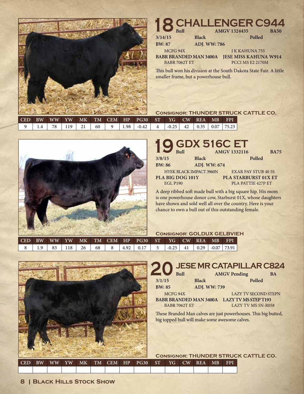

# **CHALLENGER C944**<br>Black AMGV 1324435 BA50<br>Polled  $AMGV 1324435$

**3/14/15 Black Polled**

MCFG 94X

**BW: 87 ADJ. WW: 786**

J K KAHUNA 755

**BABR BRANDED MAN 3400A JESE MISS KAHUNA W914** BABR 7062T ET

PCCI MS E2 2170M

This bull won his division at the South Dakota State Fair. A little smaller frame, but a powerhouse bull.

# **Consignor: THUNDER STRUCK CATTLE CO.**

| CED <sup>1</sup> | <b>RW</b>            |    |    |      | $\mid$ WW $\mid$ YW $\mid$ MK $\mid$ TM $\mid$ CEM $\mid$ HP $\mid$ PG30 $\mid$ ST $\mid$ $\mid$ |         |    | YG CW REA MB FPI                        |  |
|------------------|----------------------|----|----|------|--------------------------------------------------------------------------------------------------|---------|----|-----------------------------------------|--|
|                  | $^{\circ}$ $\Lambda$ | 19 | 60 | 1.98 | $-0.42$                                                                                          | $-0.25$ | 42 | $\vert$ 0.35 $\vert$ 0.07 $\vert$ 75.23 |  |



|                 | 19 GDX 516C ET                 |                                    |
|-----------------|--------------------------------|------------------------------------|
|                 |                                | <b>AMGV 1332116</b><br><b>BA75</b> |
| 3/8/15          | <b>Black</b>                   | Polled                             |
| <b>BW: 86</b>   | ADJ. WW: 674                   |                                    |
|                 | <b>HYEK BLACK IMPACT 3960N</b> | <b>EXAR PAY STUB 40 5S</b>         |
|                 | PLA BIG DOG 101Y               | PLA STARBURST 01X ET               |
| <b>EGL P190</b> |                                | PLA PATTIE 427P ET                 |

A deep ribbed soft made bull with a big square hip. His mom is one powerhouse donor cow, Starburst 01X, whose daughters have shown and sold well all over the country. Here is your chance to own a bull out of this outstanding female.

### **Consignor: GOLDUX GELBVIEH**

| $\mathsf{I}$ CED | <b>RW</b> | <b>WW</b> | YW  | M <sub>K</sub> |    |      | TM CEM HP PG30 | $-ST$ | $\overline{Y}$ G $\overline{Y}$ | CW REA |      | MB      | <b>FPI</b> |
|------------------|-----------|-----------|-----|----------------|----|------|----------------|-------|---------------------------------|--------|------|---------|------------|
|                  |           |           | 118 | 26             | 68 | 4.92 | 0.17           |       | $-0.25$                         | 41     | 0.29 | $-0.07$ | 73.91      |



# **JESE MR CATAPILLAR C824**<br> **200** Bull Black AMGV Pending BA<br>
Polled Polled

**BW: 85 ADJ. WW: 739**

MCFG 94X

BABR 7062T ET

**3/1/15 Black Polled AMGV Pending** 

**BABR BRANDED MAN 3400A LAZY TV MS STEP T193** LAZY TV SECOND STEPN LAZY TV MS 5N-R058

These Branded Man calves are just powerhouses. This big butted, big topped bull will make some awesome calves.

### **Consignor: THUNDER STRUCK CATTLE CO.**

| CED | <b>BW</b><br>WW | YW | MК | <b>TM</b> | <b>CEM</b> | HP | <b>PG30</b> | <b>ST</b> | YG \ | $\overline{\rm CW}$ | <b>REA</b> | MB | <b>FPI</b> |
|-----|-----------------|----|----|-----------|------------|----|-------------|-----------|------|---------------------|------------|----|------------|
|     |                 |    |    |           |            |    |             |           |      |                     |            |    |            |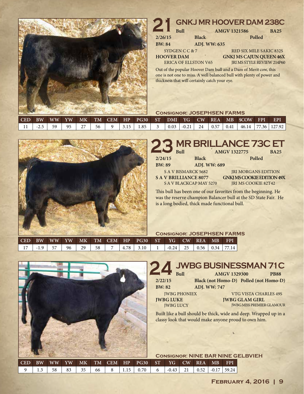

# **GNKJ MR HOOVER DAM 238C**<br> **2386**<br> **2386**<br> **2386**<br> **2386**<br> **2386**<br>
Polled **2/26/15 Black Polled AMGV 1321586**

**BW: 84 ADJ. WW: 635**

SYDGEN C C & 7 **HOOVER DAM**

ERICA OF ELLSTON V65

RED SIX MILE SAKIC 832S **GNKJ MS CAJUN QUEEN 46X** JRI MS STYLE REVIEW 214P60

Out of the popular Hoover Dam bull and a Dam of Merit cow, this one is not one to miss. A well balanced bull with plenty of power and thickness that will certainly catch your eye.

## **Consignor: JOSEPHSEN FARMS**

|          |    |    |  |                                                                                    |  |  |  | CED BW WW YW MK TM CEM HP PG30 ST DMI YG CW REA MB \$COW FPI                                       | – EPI |
|----------|----|----|--|------------------------------------------------------------------------------------|--|--|--|----------------------------------------------------------------------------------------------------|-------|
| $-2.5$ 1 | 95 | 56 |  | $\begin{array}{ c c c c c c c c c } \hline 1.3.15 & 1.85 & 3 \ \hline \end{array}$ |  |  |  | $\vert 0.03 \vert -0.21 \vert 24 \vert 0.57 \vert 0.41 \vert 46.14 \vert 77.36 \vert 127.92 \vert$ |       |



# **23 MR BRILLANCE 73C ET**

| <b>IN THE PROPERTY</b> | Ru11                         | AMGV 1322775                      | <b>BA25</b> |
|------------------------|------------------------------|-----------------------------------|-------------|
| 2/24/15                | <b>Black</b>                 | Polled                            |             |
| <b>BW: 89</b>          | <b>ADJ. WW: 689</b>          |                                   |             |
|                        | S A V BISMARCK 5682          | <b>IRI MORGANS EDITION</b>        |             |
|                        | <b>SAV BRILLIANCE 8077</b>   | <b>GNKJ MS COOKIE EDITION 49X</b> |             |
|                        | <b>SAV BLACKCAP MAY 5270</b> | <b>JRI MS COOKIE 82T42</b>        |             |

This bull has been one of our favorites from the beginning. He was the reserve champion Balancer bull at the SD State Fair. He is a long bodied, thick made functional bull.

## **Consignor: JOSEPHSEN FARMS**

| $ $ CED $ $ BW $ $ | WW YW |      | MK <sub>1</sub> |      |  | TM CEM HP PG30 ST |                                                            | YG CW REA | MB | <b>FPI</b> |
|--------------------|-------|------|-----------------|------|--|-------------------|------------------------------------------------------------|-----------|----|------------|
| $\blacksquare$ 17  | 57    | 96 l | 29              | - 58 |  | $4.78$   3.10     | $\vert$ -0.24 $\vert$ 25 $\vert$ 0.56 $\vert$ 0.34 $\vert$ |           |    | 7714       |



# **244 <b>JWBG BUSINESSMAN 71C**<br>
<sup>2/22/15</sup> Black (not Homo-D) Polled (not Homo-D)

**AMGV 1329300** 

**BW: 82 ADJ. WW: 747**

JWBG LUCY

**2/22/15 Black (not Homo-D) Polled (not Homo-D)**

JWBG PHONIEX

VTG VISTA CHARLES 49S **JWBG GLAM GIRL** JWBG MISS PREMIER GLAMOUR

Built like a bull should be thick, wide and deep. Wrapped up in a classy look that would make anyone proud to own him.

| <b>CONSIGNOR: NINE BAR NINE GELBVIEH</b> |  |  |  |
|------------------------------------------|--|--|--|
|------------------------------------------|--|--|--|

| <b>FEBRUARY 4, 2016   9</b> |  |  |
|-----------------------------|--|--|
|                             |  |  |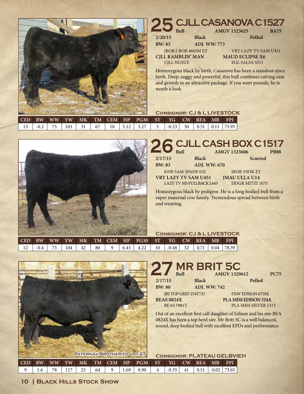

# **25 CJLL CASANOVA C1527**<br> **Black Polled** JBOB J-BOB 4665M ET **CJLL RAMBLIN' MAN** VRT LAZY TV SAM U451 **MAUD ECLIPSE X6** EGL SALSA S511 **BW: 85 ADJ. WW: 773 AMGV 1323625**

Homozygous black by birth, Casanova has been a standout since birth. Deep, soggy and powerful, this bull combines calving ease and growth in an attractive package. If you want pounds, he is

|       |           |           |                                                   |  |    |    |      |                                |         |    |      | <b>CONSIGNOR: CJ &amp; L LIVESTOCK</b> |            |
|-------|-----------|-----------|---------------------------------------------------|--|----|----|------|--------------------------------|---------|----|------|----------------------------------------|------------|
| I CED | <b>RW</b> | <b>WW</b> | $\overline{\mathbf{v}}$ w $\overline{\mathbf{v}}$ |  |    |    |      | MK TM CEM HP PG30 ST YG CW REA |         |    |      | $M_{\rm BH}$                           | <b>FPI</b> |
|       | $-0.2$    |           | 101                                               |  | 67 | 10 | 5.12 | 3.27                           | $-0.23$ | 30 | 0.51 | $0.11$   75.95                         |            |



Homozygous black by pedigree. He is a long bodied bull from a super maternal cow family. Tremendous spread between birth and weaning.

|     |           |  |     |    |    |  |      |                                         |    | <b>CONSIGNOR: CJ &amp; L LIVESTOCK</b> |  |          |                          |        |  |  |
|-----|-----------|--|-----|----|----|--|------|-----------------------------------------|----|----------------------------------------|--|----------|--------------------------|--------|--|--|
| CED | <b>BW</b> |  |     |    |    |  |      | WW YW MK TM CEM HP PG30 ST YG CW REA MB |    |                                        |  |          |                          | . FPI' |  |  |
|     | $-0.4$    |  | 104 | 42 | 80 |  | 6.43 | 4.22                                    | 10 | $-0.48$ 32                             |  | $0.71$ + | $\parallel$ 0.04   78.39 |        |  |  |



# **27 MR BRIT 5C**<br>Bull Black **Black 2/17/15 Black Polled BW: 80 ADJ. WW: 742 Bull AMGV 1329612 PC75**

JRI TOP GRID 254T725 **BEAS 0824X** BEAS 7081T

DLW EDISON 6718X **PLA MISS EDISON 324A** PLA MISS SILVER 131Y

Out of an excellent first calf daughter of Edison and his sire BEA 0824X has been a top herd sire. Mr Britt 5C is a well balanced, sound, deep bodied bull with excellent EPDs and performance.

| <b>CONSIGNOR: PLATEAU GELBVIEH</b> |  |  |  |  |
|------------------------------------|--|--|--|--|
|                                    |  |  |  |  |

| $\mathsf{I}$ CED | <b>RW</b> | $\overline{\text{WW}}$ | YW' | MK |    | TM CEM | HP  | <b>PG30</b> | $\operatorname{ST}$ | YG.     | $\overline{\mathrm{CW}}$ | <b>REA</b> | <b>MR</b> | <b>FPI</b> |
|------------------|-----------|------------------------|-----|----|----|--------|-----|-------------|---------------------|---------|--------------------------|------------|-----------|------------|
|                  |           |                        |     |    | 64 |        | .69 | 0.90        | Δ                   | $-0.35$ | 41                       | 0.51       | $-0.02$   | 173.65     |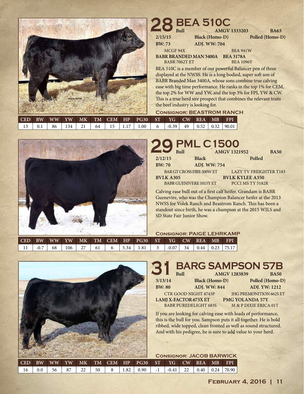

# **28 BEA 510C**<br> **BA63 BA63 BA63 2/15/15 Black (Homo-D) Polled (Homo-D) BW: 73 ADJ. WW: 704**

MCGF 94X

BABR 7062T ET

**BABR BRANDED MAN 3400A BEA 3178A** BEA 941W BEA 1096Y

BEA 510C is a member of our powerful Balancer pen of three displayed at the NWSS. He is a long bodied, super soft son of BABR Branded Man 3400A, whose sons combine true calving ease with big time performance. He ranks in the top 1% for CEM, the top 2% for WW and YW, and the top 3% for FPI, YW & CW. This is a true herd sire prospect that combines the relevant traits the beef industry is looking for.

## **Consignor: BEASTROM RANCH**

|  |    |     |      |      | <b>CED BW WW YW MK TM CEM HP PG30 ST YG CW REA MB</b> |                               |  | – FPI                                    |
|--|----|-----|------|------|-------------------------------------------------------|-------------------------------|--|------------------------------------------|
|  | 86 | 134 | 64 I | 1.17 | 1.00 <sub>1</sub>                                     | $^{\prime}$ -0.39 $\parallel$ |  | $49 \mid 0.52 \mid 0.32 \mid 90.01 \mid$ |



#### **29 PML C1500**<br>Bull Black<br>Black BAR GT CROSS FIRE 500W ET **BVLK A305** BABR GUENIVERE 1015Y ET LAZY TV FREIGHTER T183 **BVLK KYLEE A350** PCCI MS TY 5182R **2/12/15 Black Polled BW: 70 ADJ. WW: 754 Bull AMGV 1321952 BA50**

Calving ease bull out of a first calf heifer. Grandam is BABR Guenevire, who was the Champion Balancer heifer at the 2013 NWSS for Volek Ranch and Beastrom Ranch. This has been a standout since birth, he was a champion at the 2015 WJLS and SD State Fair Junior Show.

|  |  |  | <b>CONSIGNOR: PAIGE LEHRKAMP</b> |  |  |
|--|--|--|----------------------------------|--|--|
|  |  |  |                                  |  |  |

BABR PUREDELIGHT 683S

| I CED | BW     | WW | YW. | MK |    |     | TM CEM HP PG30 ST                     |               | YG CW REA MB |               |  | <b>FPI</b>            |
|-------|--------|----|-----|----|----|-----|---------------------------------------|---------------|--------------|---------------|--|-----------------------|
|       | $-0.7$ | 68 | 106 | 27 | 61 | 534 | $\begin{array}{c c} 1.81 \end{array}$ | $\mathcal{R}$ | $-0.07$      | $\frac{34}{}$ |  | $0.44$   0.23   75.17 |



# **3/1 <b>BARG SAMPSON 57B**<br>3/13/14 **Black (Homo-D)** Polled (Homo-D)

**AMGV 1283839** 

CTR GOOD NIGHT 4743P **LAMJ X-FACTOR 673X ET**

**BW: 80 ADJ. WW: 844 ADJ. YW: 1212**

JHG PREMONITION 662S ET **PMG YOLANDA 57Y** M & P DIXIE ERICA 01T

**3/13/14 Black (Homo-D) Polled (Homo-D)**

If you are looking for calving ease with loads of performance, this is the bull for you. Sampson puts it all together. He is bold ribbed, wide topped, clean fronted as well as sound structured. And with his pedigree, he is sure to add value to your herd.

|            |           |     |      |           |    |           |      |                   |      | <b>CONSIGNOR: JACOB BARWICK</b> |    |                  |      |            |
|------------|-----------|-----|------|-----------|----|-----------|------|-------------------|------|---------------------------------|----|------------------|------|------------|
| <b>CED</b> | <b>BW</b> | WW. | YW \ | <b>MK</b> |    | TM CEM HP |      | $P$ G30           | ST 5 | YG                              | CW | REA <sup>1</sup> | MB'  | <b>FPI</b> |
| 16         | 0.0       | 56  | 87   | 22        | 50 |           | 1.82 | 0.90 <sub>1</sub> | $-1$ | $-0.41$                         | 22 | 0.40             | 0.24 | 70.90      |